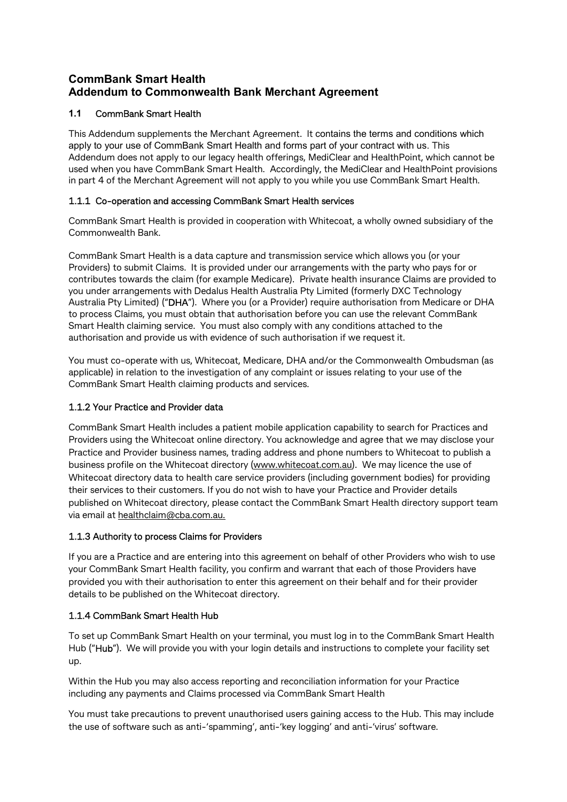## CommBank Smart Health Addendum to Commonwealth Bank Merchant Agreement

#### 1.1 CommBank Smart Health

This Addendum supplements the Merchant Agreement. It contains the terms and conditions which apply to your use of CommBank Smart Health and forms part of your contract with us. This Addendum does not apply to our legacy health offerings, MediClear and HealthPoint, which cannot be used when you have CommBank Smart Health. Accordingly, the MediClear and HealthPoint provisions in part 4 of the Merchant Agreement will not apply to you while you use CommBank Smart Health.

#### 1.1.1 Co-operation and accessing CommBank Smart Health services

CommBank Smart Health is provided in cooperation with Whitecoat, a wholly owned subsidiary of the Commonwealth Bank.

CommBank Smart Health is a data capture and transmission service which allows you (or your Providers) to submit Claims. It is provided under our arrangements with the party who pays for or contributes towards the claim (for example Medicare). Private health insurance Claims are provided to you under arrangements with Dedalus Health Australia Pty Limited (formerly DXC Technology Australia Pty Limited) ("DHA"). Where you (or a Provider) require authorisation from Medicare or DHA to process Claims, you must obtain that authorisation before you can use the relevant CommBank Smart Health claiming service. You must also comply with any conditions attached to the authorisation and provide us with evidence of such authorisation if we request it.

You must co-operate with us, Whitecoat, Medicare, DHA and/or the Commonwealth Ombudsman (as applicable) in relation to the investigation of any complaint or issues relating to your use of the CommBank Smart Health claiming products and services.

## 1.1.2 Your Practice and Provider data

CommBank Smart Health includes a patient mobile application capability to search for Practices and Providers using the Whitecoat online directory. You acknowledge and agree that we may disclose your Practice and Provider business names, trading address and phone numbers to Whitecoat to publish a business profile on the Whitecoat directory (www.whitecoat.com.au). We may licence the use of Whitecoat directory data to health care service providers (including government bodies) for providing their services to their customers. If you do not wish to have your Practice and Provider details published on Whitecoat directory, please contact the CommBank Smart Health directory support team via email at healthclaim@cba.com.au.

#### 1.1.3 Authority to process Claims for Providers

If you are a Practice and are entering into this agreement on behalf of other Providers who wish to use your CommBank Smart Health facility, you confirm and warrant that each of those Providers have provided you with their authorisation to enter this agreement on their behalf and for their provider details to be published on the Whitecoat directory.

## 1.1.4 CommBank Smart Health Hub

To set up CommBank Smart Health on your terminal, you must log in to the CommBank Smart Health Hub ("Hub"). We will provide you with your login details and instructions to complete your facility set up.

Within the Hub you may also access reporting and reconciliation information for your Practice including any payments and Claims processed via CommBank Smart Health

You must take precautions to prevent unauthorised users gaining access to the Hub. This may include the use of software such as anti-'spamming', anti-'key logging' and anti-'virus' software.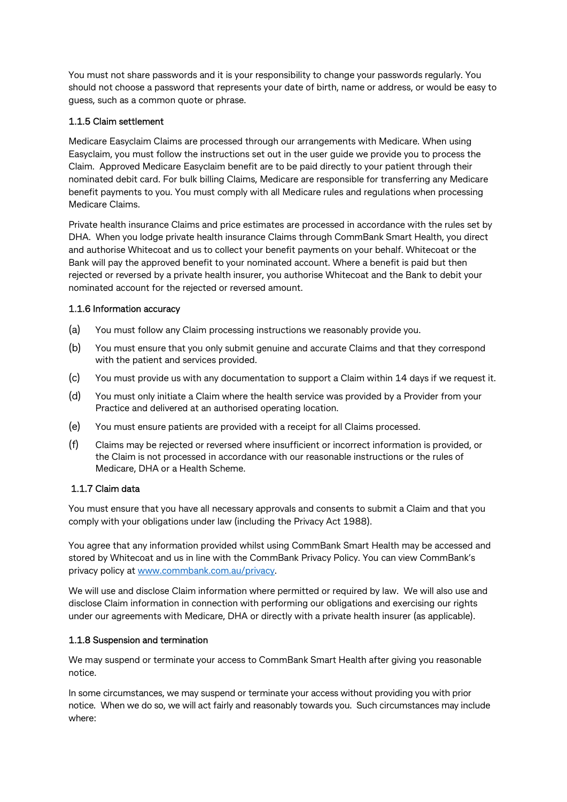You must not share passwords and it is your responsibility to change your passwords regularly. You should not choose a password that represents your date of birth, name or address, or would be easy to guess, such as a common quote or phrase.

#### 1.1.5 Claim settlement

Medicare Easyclaim Claims are processed through our arrangements with Medicare. When using Easyclaim, you must follow the instructions set out in the user guide we provide you to process the Claim. Approved Medicare Easyclaim benefit are to be paid directly to your patient through their nominated debit card. For bulk billing Claims, Medicare are responsible for transferring any Medicare benefit payments to you. You must comply with all Medicare rules and regulations when processing Medicare Claims.

Private health insurance Claims and price estimates are processed in accordance with the rules set by DHA. When you lodge private health insurance Claims through CommBank Smart Health, you direct and authorise Whitecoat and us to collect your benefit payments on your behalf. Whitecoat or the Bank will pay the approved benefit to your nominated account. Where a benefit is paid but then rejected or reversed by a private health insurer, you authorise Whitecoat and the Bank to debit your nominated account for the rejected or reversed amount.

#### 1.1.6 Information accuracy

- (a) You must follow any Claim processing instructions we reasonably provide you.
- (b) You must ensure that you only submit genuine and accurate Claims and that they correspond with the patient and services provided.
- (c) You must provide us with any documentation to support a Claim within 14 days if we request it.
- (d) You must only initiate a Claim where the health service was provided by a Provider from your Practice and delivered at an authorised operating location.
- (e) You must ensure patients are provided with a receipt for all Claims processed.
- (f) Claims may be rejected or reversed where insufficient or incorrect information is provided, or the Claim is not processed in accordance with our reasonable instructions or the rules of Medicare, DHA or a Health Scheme.

#### 1.1.7 Claim data

You must ensure that you have all necessary approvals and consents to submit a Claim and that you comply with your obligations under law (including the Privacy Act 1988).

You agree that any information provided whilst using CommBank Smart Health may be accessed and stored by Whitecoat and us in line with the CommBank Privacy Policy. You can view CommBank's privacy policy at www.commbank.com.au/privacy.

We will use and disclose Claim information where permitted or required by law. We will also use and disclose Claim information in connection with performing our obligations and exercising our rights under our agreements with Medicare, DHA or directly with a private health insurer (as applicable).

#### 1.1.8 Suspension and termination

We may suspend or terminate your access to CommBank Smart Health after giving you reasonable notice.

In some circumstances, we may suspend or terminate your access without providing you with prior notice. When we do so, we will act fairly and reasonably towards you. Such circumstances may include where: